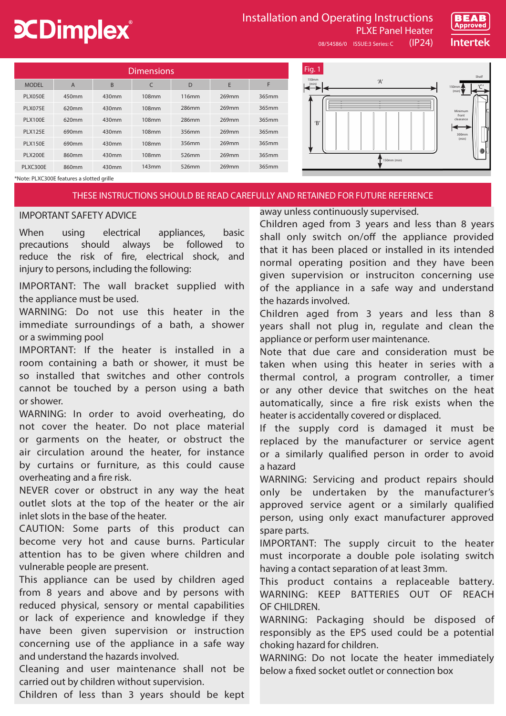# **CDimplex**®

## Installation and Operating Instructions

08/54586/0 ISSUE:3 Series: C (IP24)



| Dimensions <sup>'</sup> |                |       |       |       |       |       |  |  |  |
|-------------------------|----------------|-------|-------|-------|-------|-------|--|--|--|
| <b>MODEL</b>            | $\overline{A}$ | B     | C     | D     | E     | F     |  |  |  |
| <b>PLX050E</b>          | 450mm          | 430mm | 108mm | 116mm | 269mm | 365mm |  |  |  |
| <b>PLX075E</b>          | 620mm          | 430mm | 108mm | 286mm | 269mm | 365mm |  |  |  |
| <b>PLX100E</b>          | 620mm          | 430mm | 108mm | 286mm | 269mm | 365mm |  |  |  |
| <b>PLX125E</b>          | 690mm          | 430mm | 108mm | 356mm | 269mm | 365mm |  |  |  |
| <b>PLX150E</b>          | 690mm          | 430mm | 108mm | 356mm | 269mm | 365mm |  |  |  |
| <b>PLX200E</b>          | 860mm          | 430mm | 108mm | 526mm | 269mm | 365mm |  |  |  |
| PLXC300E                | 860mm          | 430mm | 143mm | 526mm | 269mm | 365mm |  |  |  |



PLXE Panel Heater

\*Note: PLXC300E features a slotted grille

## THESE INSTRUCTIONS SHOULD BE READ CAREFULLY AND RETAINED FOR FUTURE REFERENCE

## IMPORTANT SAFETY ADVICE

When using electrical appliances, basic precautions should always be followed to reduce the risk of fire, electrical shock, and injury to persons, including the following:

IMPORTANT: The wall bracket supplied with the appliance must be used.

WARNING: Do not use this heater in the immediate surroundings of a bath, a shower or a swimming pool

IMPORTANT: If the heater is installed in a room containing a bath or shower, it must be so installed that switches and other controls cannot be touched by a person using a bath or shower.

WARNING: In order to avoid overheating, do not cover the heater. Do not place material or garments on the heater, or obstruct the air circulation around the heater, for instance by curtains or furniture, as this could cause overheating and a fire risk.

NEVER cover or obstruct in any way the heat outlet slots at the top of the heater or the air inlet slots in the base of the heater.

CAUTION: Some parts of this product can become very hot and cause burns. Particular attention has to be given where children and vulnerable people are present.

This appliance can be used by children aged from 8 years and above and by persons with reduced physical, sensory or mental capabilities or lack of experience and knowledge if they have been given supervision or instruction concerning use of the appliance in a safe way and understand the hazards involved.

Cleaning and user maintenance shall not be carried out by children without supervision.

Children of less than 3 years should be kept

away unless continuously supervised.

Children aged from 3 years and less than 8 years shall only switch on/off the appliance provided that it has been placed or installed in its intended normal operating position and they have been given supervision or instruciton concerning use of the appliance in a safe way and understand the hazards involved.

Children aged from 3 years and less than 8 years shall not plug in, regulate and clean the appliance or perform user maintenance.

Note that due care and consideration must be taken when using this heater in series with a thermal control, a program controller, a timer or any other device that switches on the heat automatically, since a fire risk exists when the heater is accidentally covered or displaced.

If the supply cord is damaged it must be replaced by the manufacturer or service agent or a similarly qualified person in order to avoid a hazard

WARNING: Servicing and product repairs should only be undertaken by the manufacturer's approved service agent or a similarly qualified person, using only exact manufacturer approved spare parts.

IMPORTANT: The supply circuit to the heater must incorporate a double pole isolating switch having a contact separation of at least 3mm.

This product contains a replaceable battery. WARNING: KEEP BATTERIES OUT OF REACH OF CHILDREN.

WARNING: Packaging should be disposed of responsibly as the EPS used could be a potential choking hazard for children.

WARNING: Do not locate the heater immediately below a fixed socket outlet or connection box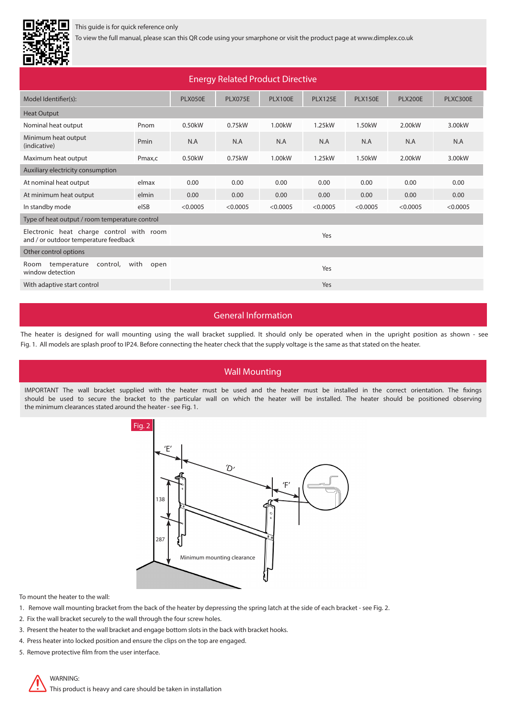

## This guide is for quick reference only

To view the full manual, please scan this QR code using your smarphone or visit the product page at www.dimplex.co.uk

| ------                                                                            |             |                |                                  |                     |                |                     |                     |          |  |
|-----------------------------------------------------------------------------------|-------------|----------------|----------------------------------|---------------------|----------------|---------------------|---------------------|----------|--|
| <b>Energy Related Product Directive</b>                                           |             |                |                                  |                     |                |                     |                     |          |  |
| Model Identifier(s):                                                              |             | <b>PLX050E</b> | <b>PLX075E</b><br><b>PLX100E</b> |                     | <b>PLX125E</b> | <b>PLX150E</b>      | <b>PLX200E</b>      | PLXC300E |  |
| <b>Heat Output</b>                                                                |             |                |                                  |                     |                |                     |                     |          |  |
| Nominal heat output                                                               | Pnom        | 0.50kW         | 0.75kW                           | 1.00 <sub>k</sub> W | 1.25kW         | 1.50 <sub>k</sub> W | 2.00 <sub>k</sub> W | 3.00kW   |  |
| Minimum heat output<br>(indicative)                                               | Pmin        | N.A            | N.A                              | N.A                 | N.A            | N.A                 | N.A                 | N.A      |  |
| Maximum heat output                                                               | Pmax,c      | 0.50kW         | 0.75kW                           | 1.00 <sub>k</sub> W | 1.25kW         | 1.50 <sub>k</sub> W | 2.00kW              | 3.00kW   |  |
| Auxiliary electricity consumption                                                 |             |                |                                  |                     |                |                     |                     |          |  |
| At nominal heat output                                                            | elmax       | 0.00           | 0.00                             | 0.00                | 0.00           | 0.00                | 0.00                | 0.00     |  |
| At minimum heat output                                                            | elmin       | 0.00           | 0.00                             | 0.00                | 0.00           | 0.00                | 0.00                | 0.00     |  |
| In standby mode                                                                   | elSB        | < 0.0005       | < 0.0005                         | < 0.0005            | < 0.0005       | < 0.0005            | < 0.0005            | < 0.0005 |  |
| Type of heat output / room temperature control                                    |             |                |                                  |                     |                |                     |                     |          |  |
| Electronic heat charge control with room<br>and / or outdoor temperature feedback | Yes         |                |                                  |                     |                |                     |                     |          |  |
| Other control options                                                             |             |                |                                  |                     |                |                     |                     |          |  |
| with<br>temperature<br>control,<br>Room<br>window detection                       | open<br>Yes |                |                                  |                     |                |                     |                     |          |  |
| With adaptive start control                                                       | Yes         |                |                                  |                     |                |                     |                     |          |  |

## General Information

The heater is designed for wall mounting using the wall bracket supplied. It should only be operated when in the upright position as shown - see Fig. 1. All models are splash proof to IP24. Before connecting the heater check that the supply voltage is the same as that stated on the heater.

## Wall Mounting

IMPORTANT The wall bracket supplied with the heater must be used and the heater must be installed in the correct orientation. The fixings should be used to secure the bracket to the particular wall on which the heater will be installed. The heater should be positioned observing the minimum clearances stated around the heater - see Fig. 1.



To mount the heater to the wall:

- 1. Remove wall mounting bracket from the back of the heater by depressing the spring latch at the side of each bracket see Fig. 2.
- 2. Fix the wall bracket securely to the wall through the four screw holes.
- 3. Present the heater to the wall bracket and engage bottom slots in the back with bracket hooks.
- 4. Press heater into locked position and ensure the clips on the top are engaged.
- 5. Remove protective film from the user interface.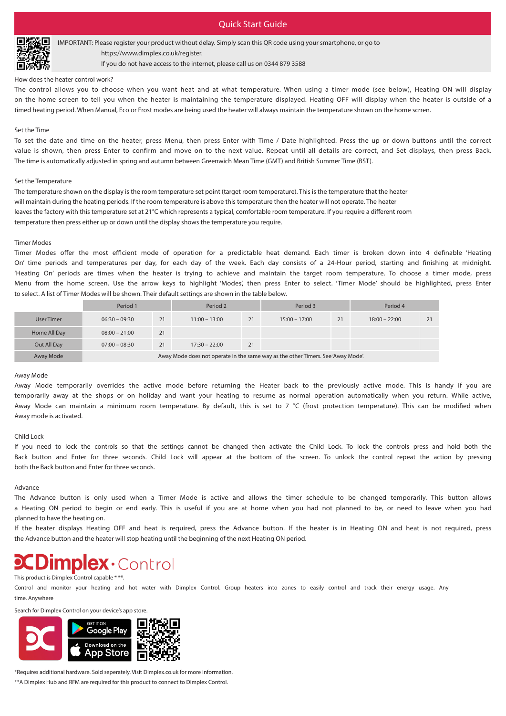## Quick Start Guide



IMPORTANT: Please register your product without delay. Simply scan this QR code using your smartphone, or go to https://www.dimplex.co.uk/register.

If you do not have access to the internet, please call us on 0344 879 3588

#### How does the heater control work?

The control allows you to choose when you want heat and at what temperature. When using a timer mode (see below), Heating ON will display on the home screen to tell you when the heater is maintaining the temperature displayed. Heating OFF will display when the heater is outside of a timed heating period. When Manual, Eco or Frost modes are being used the heater will always maintain the temperature shown on the home scrren.

#### Set the Time

To set the date and time on the heater, press Menu, then press Enter with Time / Date highlighted. Press the up or down buttons until the correct value is shown, then press Enter to confirm and move on to the next value. Repeat until all details are correct, and Set displays, then press Back. The time is automatically adjusted in spring and autumn between Greenwich Mean Time (GMT) and British Summer Time (BST).

#### Set the Temperature

The temperature shown on the display is the room temperature set point (target room temperature). This is the temperature that the heater will maintain during the heating periods. If the room temperature is above this temperature then the heater will not operate. The heater leaves the factory with this temperature set at 21°C which represents a typical, comfortable room temperature. If you require a different room temperature then press either up or down until the display shows the temperature you require.

#### Timer Modes

Timer Modes offer the most efficient mode of operation for a predictable heat demand. Each timer is broken down into 4 definable 'Heating On' time periods and temperatures per day, for each day of the week. Each day consists of a 24-Hour period, starting and finishing at midnight. 'Heating On' periods are times when the heater is trying to achieve and maintain the target room temperature. To choose a timer mode, press Menu from the home screen. Use the arrow keys to highlight 'Modes', then press Enter to select. 'Timer Mode' should be highlighted, press Enter to select. A list of Timer Modes will be shown. Their default settings are shown in the table below.

|              | Period 1                                                                         |    | Period 2        |    | Period 3        |    | Period 4        |    |
|--------------|----------------------------------------------------------------------------------|----|-----------------|----|-----------------|----|-----------------|----|
| User Timer   | $06:30 - 09:30$                                                                  | 21 | $11:00 - 13:00$ | 21 | $15:00 - 17:00$ | 21 | $18:00 - 22:00$ | 21 |
| Home All Day | $08:00 - 21:00$                                                                  | 21 |                 |    |                 |    |                 |    |
| Out All Day  | $07:00 - 08:30$                                                                  | 21 | $17:30 - 22:00$ | 21 |                 |    |                 |    |
| Away Mode    | Away Mode does not operate in the same way as the other Timers. See 'Away Mode'. |    |                 |    |                 |    |                 |    |

#### Away Mode

Away Mode temporarily overrides the active mode before returning the Heater back to the previously active mode. This is handy if you are temporarily away at the shops or on holiday and want your heating to resume as normal operation automatically when you return. While active, Away Mode can maintain a minimum room temperature. By default, this is set to 7 °C (frost protection temperature). This can be modified when Away mode is activated.

#### Child Lock

If you need to lock the controls so that the settings cannot be changed then activate the Child Lock. To lock the controls press and hold both the Back button and Enter for three seconds. Child Lock will appear at the bottom of the screen. To unlock the control repeat the action by pressing both the Back button and Enter for three seconds.

#### Advance

The Advance button is only used when a Timer Mode is active and allows the timer schedule to be changed temporarily. This button allows a Heating ON period to begin or end early. This is useful if you are at home when you had not planned to be, or need to leave when you had planned to have the heating on.

If the heater displays Heating OFF and heat is required, press the Advance button. If the heater is in Heating ON and heat is not required, press the Advance button and the heater will stop heating until the beginning of the next Heating ON period.

## **Dimplex** Control

#### This product is Dimplex Control capable \* \*\*.

Control and monitor your heating and hot water with Dimplex Control. Group heaters into zones to easily control and track their energy usage. Any time. Anywhere

Search for Dimplex Control on your device's app store.



\*Requires additional hardware. Sold seperately. Visit Dimplex.co.uk for more information.

\*\*A Dimplex Hub and RFM are required for this product to connect to Dimplex Control.